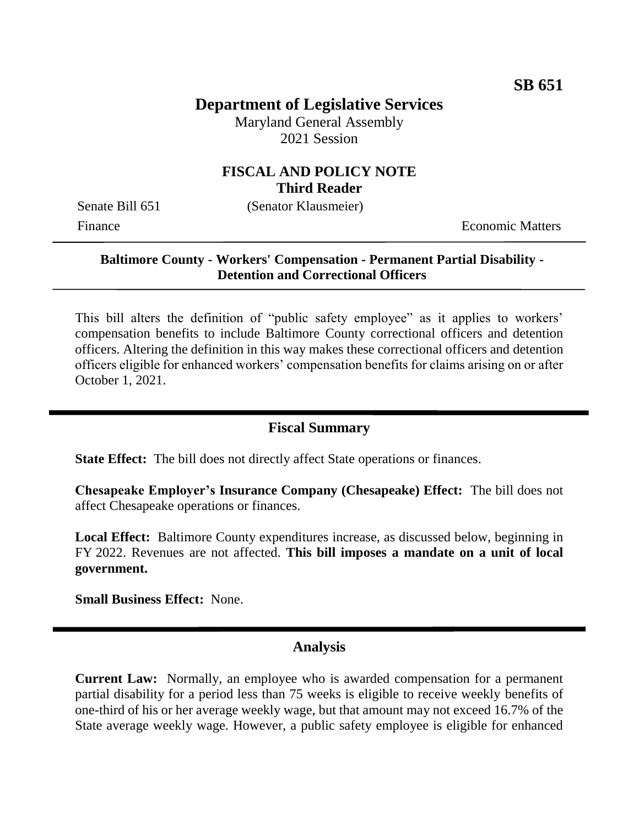# **Department of Legislative Services**

Maryland General Assembly 2021 Session

## **FISCAL AND POLICY NOTE Third Reader**

Senate Bill 651 (Senator Klausmeier)

Finance **Exercífical Economic Matters** 

#### **Baltimore County - Workers' Compensation - Permanent Partial Disability - Detention and Correctional Officers**

This bill alters the definition of "public safety employee" as it applies to workers' compensation benefits to include Baltimore County correctional officers and detention officers. Altering the definition in this way makes these correctional officers and detention officers eligible for enhanced workers' compensation benefits for claims arising on or after October 1, 2021.

## **Fiscal Summary**

**State Effect:** The bill does not directly affect State operations or finances.

**Chesapeake Employer's Insurance Company (Chesapeake) Effect:** The bill does not affect Chesapeake operations or finances.

**Local Effect:** Baltimore County expenditures increase, as discussed below, beginning in FY 2022. Revenues are not affected. **This bill imposes a mandate on a unit of local government.**

**Small Business Effect:** None.

## **Analysis**

**Current Law:** Normally, an employee who is awarded compensation for a permanent partial disability for a period less than 75 weeks is eligible to receive weekly benefits of one-third of his or her average weekly wage, but that amount may not exceed 16.7% of the State average weekly wage. However, a public safety employee is eligible for enhanced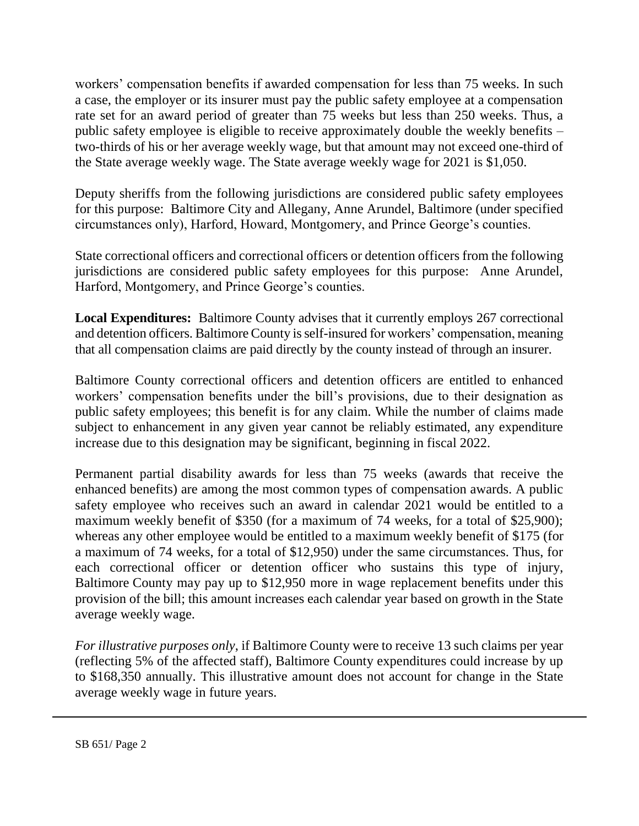workers' compensation benefits if awarded compensation for less than 75 weeks. In such a case, the employer or its insurer must pay the public safety employee at a compensation rate set for an award period of greater than 75 weeks but less than 250 weeks. Thus, a public safety employee is eligible to receive approximately double the weekly benefits – two-thirds of his or her average weekly wage, but that amount may not exceed one-third of the State average weekly wage. The State average weekly wage for 2021 is \$1,050.

Deputy sheriffs from the following jurisdictions are considered public safety employees for this purpose: Baltimore City and Allegany, Anne Arundel, Baltimore (under specified circumstances only), Harford, Howard, Montgomery, and Prince George's counties.

State correctional officers and correctional officers or detention officers from the following jurisdictions are considered public safety employees for this purpose: Anne Arundel, Harford, Montgomery, and Prince George's counties.

**Local Expenditures:** Baltimore County advises that it currently employs 267 correctional and detention officers. Baltimore County is self-insured for workers' compensation, meaning that all compensation claims are paid directly by the county instead of through an insurer.

Baltimore County correctional officers and detention officers are entitled to enhanced workers' compensation benefits under the bill's provisions, due to their designation as public safety employees; this benefit is for any claim. While the number of claims made subject to enhancement in any given year cannot be reliably estimated, any expenditure increase due to this designation may be significant, beginning in fiscal 2022.

Permanent partial disability awards for less than 75 weeks (awards that receive the enhanced benefits) are among the most common types of compensation awards. A public safety employee who receives such an award in calendar 2021 would be entitled to a maximum weekly benefit of \$350 (for a maximum of 74 weeks, for a total of \$25,900); whereas any other employee would be entitled to a maximum weekly benefit of \$175 (for a maximum of 74 weeks, for a total of \$12,950) under the same circumstances. Thus, for each correctional officer or detention officer who sustains this type of injury, Baltimore County may pay up to \$12,950 more in wage replacement benefits under this provision of the bill; this amount increases each calendar year based on growth in the State average weekly wage.

*For illustrative purposes only*, if Baltimore County were to receive 13 such claims per year (reflecting 5% of the affected staff), Baltimore County expenditures could increase by up to \$168,350 annually. This illustrative amount does not account for change in the State average weekly wage in future years.